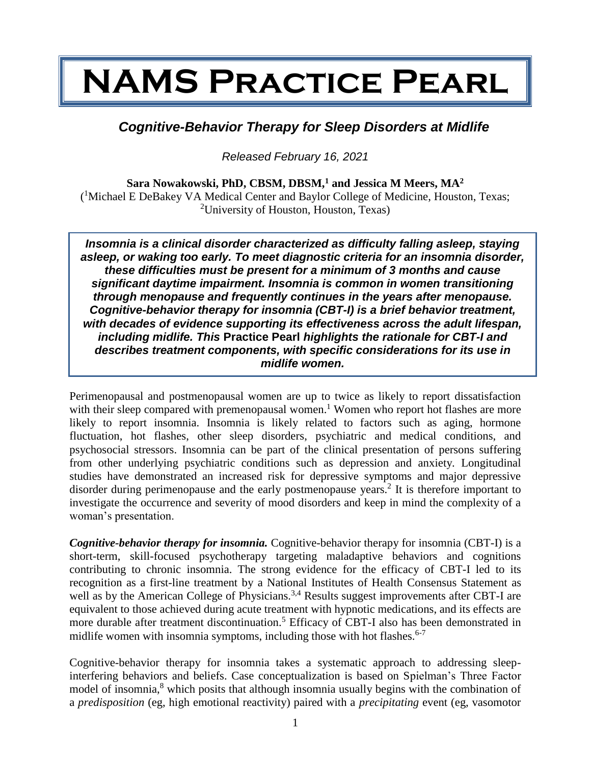## **NAMS Practice Pearl**

## *Cognitive-Behavior Therapy for Sleep Disorders at Midlife*

*Released February 16, 2021*

**Sara Nowakowski, PhD, CBSM, DBSM,<sup>1</sup> and Jessica M Meers, MA<sup>2</sup>** ( <sup>1</sup>Michael E DeBakey VA Medical Center and Baylor College of Medicine, Houston, Texas; <sup>2</sup>University of Houston, Houston, Texas)

*Insomnia is a clinical disorder characterized as difficulty falling asleep, staying asleep, or waking too early. To meet diagnostic criteria for an insomnia disorder, these difficulties must be present for a minimum of 3 months and cause significant daytime impairment. Insomnia is common in women transitioning through menopause and frequently continues in the years after menopause. Cognitive-behavior therapy for insomnia (CBT-I) is a brief behavior treatment, with decades of evidence supporting its effectiveness across the adult lifespan, including midlife. This* **Practice Pearl** *highlights the rationale for CBT-I and describes treatment components, with specific considerations for its use in midlife women.*

Perimenopausal and postmenopausal women are up to twice as likely to report dissatisfaction with their sleep compared with premenopausal women.<sup>1</sup> Women who report hot flashes are more likely to report insomnia. Insomnia is likely related to factors such as aging, hormone fluctuation, hot flashes, other sleep disorders, psychiatric and medical conditions, and psychosocial stressors. Insomnia can be part of the clinical presentation of persons suffering from other underlying psychiatric conditions such as depression and anxiety. Longitudinal studies have demonstrated an increased risk for depressive symptoms and major depressive disorder during perimenopause and the early postmenopause years.<sup>2</sup> It is therefore important to investigate the occurrence and severity of mood disorders and keep in mind the complexity of a woman's presentation.

*Cognitive-behavior therapy for insomnia.* Cognitive-behavior therapy for insomnia (CBT-I) is a short-term, skill-focused psychotherapy targeting maladaptive behaviors and cognitions contributing to chronic insomnia. The strong evidence for the efficacy of CBT-I led to its recognition as a first-line treatment by a National Institutes of Health Consensus Statement as well as by the American College of Physicians.<sup>3,4</sup> Results suggest improvements after CBT-I are equivalent to those achieved during acute treatment with hypnotic medications, and its effects are more durable after treatment discontinuation.<sup>5</sup> Efficacy of CBT-I also has been demonstrated in midlife women with insomnia symptoms, including those with hot flashes.  $6-7$ 

Cognitive-behavior therapy for insomnia takes a systematic approach to addressing sleepinterfering behaviors and beliefs. Case conceptualization is based on Spielman's Three Factor model of insomnia,<sup>8</sup> which posits that although insomnia usually begins with the combination of a *predisposition* (eg, high emotional reactivity) paired with a *precipitating* event (eg, vasomotor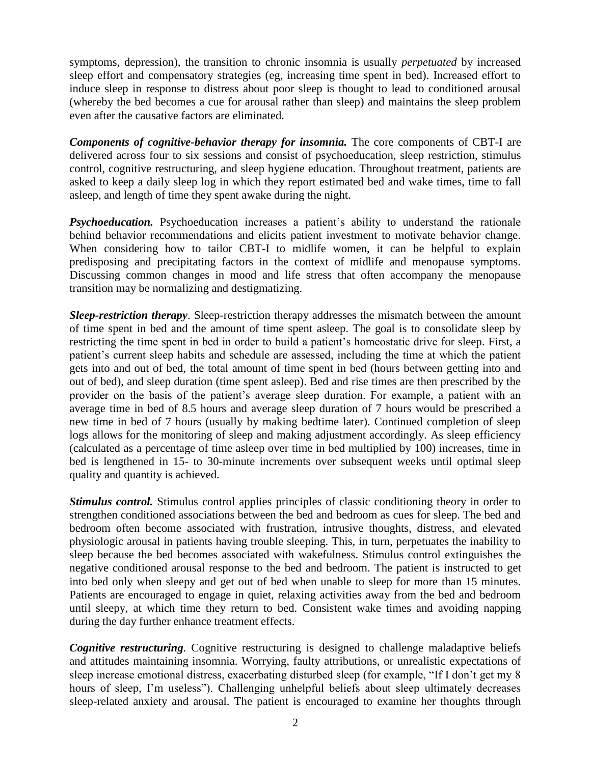symptoms, depression), the transition to chronic insomnia is usually *perpetuated* by increased sleep effort and compensatory strategies (eg, increasing time spent in bed). Increased effort to induce sleep in response to distress about poor sleep is thought to lead to conditioned arousal (whereby the bed becomes a cue for arousal rather than sleep) and maintains the sleep problem even after the causative factors are eliminated.

*Components of cognitive-behavior therapy for insomnia.* The core components of CBT-I are delivered across four to six sessions and consist of psychoeducation, sleep restriction, stimulus control, cognitive restructuring, and sleep hygiene education. Throughout treatment, patients are asked to keep a daily sleep log in which they report estimated bed and wake times, time to fall asleep, and length of time they spent awake during the night.

**Psychoeducation.** Psychoeducation increases a patient's ability to understand the rationale behind behavior recommendations and elicits patient investment to motivate behavior change. When considering how to tailor CBT-I to midlife women, it can be helpful to explain predisposing and precipitating factors in the context of midlife and menopause symptoms. Discussing common changes in mood and life stress that often accompany the menopause transition may be normalizing and destigmatizing.

*Sleep-restriction therapy*. Sleep-restriction therapy addresses the mismatch between the amount of time spent in bed and the amount of time spent asleep. The goal is to consolidate sleep by restricting the time spent in bed in order to build a patient's homeostatic drive for sleep. First, a patient's current sleep habits and schedule are assessed, including the time at which the patient gets into and out of bed, the total amount of time spent in bed (hours between getting into and out of bed), and sleep duration (time spent asleep). Bed and rise times are then prescribed by the provider on the basis of the patient's average sleep duration. For example, a patient with an average time in bed of 8.5 hours and average sleep duration of 7 hours would be prescribed a new time in bed of 7 hours (usually by making bedtime later). Continued completion of sleep logs allows for the monitoring of sleep and making adjustment accordingly. As sleep efficiency (calculated as a percentage of time asleep over time in bed multiplied by 100) increases, time in bed is lengthened in 15- to 30-minute increments over subsequent weeks until optimal sleep quality and quantity is achieved.

*Stimulus control.* Stimulus control applies principles of classic conditioning theory in order to strengthen conditioned associations between the bed and bedroom as cues for sleep. The bed and bedroom often become associated with frustration, intrusive thoughts, distress, and elevated physiologic arousal in patients having trouble sleeping. This, in turn, perpetuates the inability to sleep because the bed becomes associated with wakefulness. Stimulus control extinguishes the negative conditioned arousal response to the bed and bedroom. The patient is instructed to get into bed only when sleepy and get out of bed when unable to sleep for more than 15 minutes. Patients are encouraged to engage in quiet, relaxing activities away from the bed and bedroom until sleepy, at which time they return to bed. Consistent wake times and avoiding napping during the day further enhance treatment effects.

*Cognitive restructuring.* Cognitive restructuring is designed to challenge maladaptive beliefs and attitudes maintaining insomnia. Worrying, faulty attributions, or unrealistic expectations of sleep increase emotional distress, exacerbating disturbed sleep (for example, "If I don't get my 8 hours of sleep, I'm useless"). Challenging unhelpful beliefs about sleep ultimately decreases sleep-related anxiety and arousal. The patient is encouraged to examine her thoughts through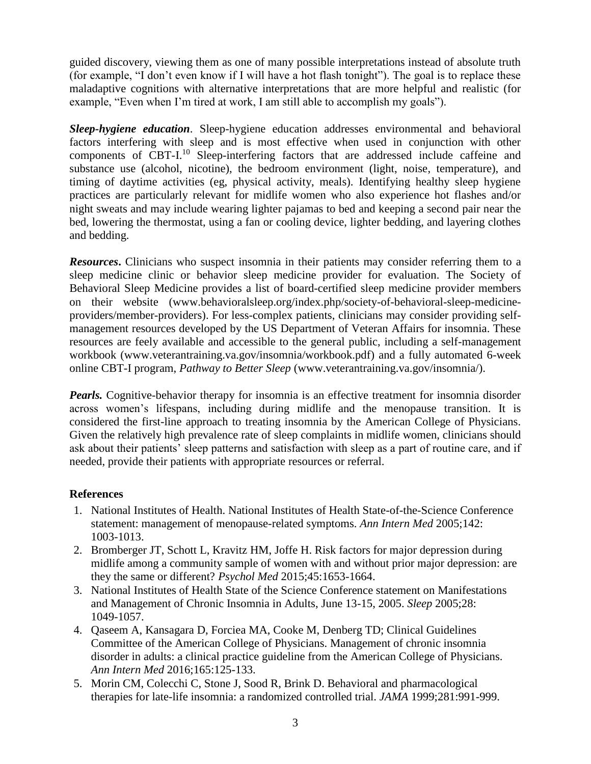guided discovery, viewing them as one of many possible interpretations instead of absolute truth (for example, "I don't even know if I will have a hot flash tonight"). The goal is to replace these maladaptive cognitions with alternative interpretations that are more helpful and realistic (for example, "Even when I'm tired at work, I am still able to accomplish my goals").

*Sleep-hygiene education*. Sleep-hygiene education addresses environmental and behavioral factors interfering with sleep and is most effective when used in conjunction with other components of CBT-I.<sup>10</sup> Sleep-interfering factors that are addressed include caffeine and substance use (alcohol, nicotine), the bedroom environment (light, noise, temperature), and timing of daytime activities (eg, physical activity, meals). Identifying healthy sleep hygiene practices are particularly relevant for midlife women who also experience hot flashes and/or night sweats and may include wearing lighter pajamas to bed and keeping a second pair near the bed, lowering the thermostat, using a fan or cooling device, lighter bedding, and layering clothes and bedding.

*Resources***.** Clinicians who suspect insomnia in their patients may consider referring them to a sleep medicine clinic or behavior sleep medicine provider for evaluation. The Society of Behavioral Sleep Medicine provides a list of board-certified sleep medicine provider members on their website (www.behavioralsleep.org/index.php/society-of-behavioral-sleep-medicineproviders/member-providers). For less-complex patients, clinicians may consider providing selfmanagement resources developed by the US Department of Veteran Affairs for insomnia. These resources are feely available and accessible to the general public, including a self-management workbook (www.veterantraining.va.gov/insomnia/workbook.pdf) and a fully automated 6-week online CBT-I program, *Pathway to Better Sleep* (www.veterantraining.va.gov/insomnia/).

*Pearls.* Cognitive-behavior therapy for insomnia is an effective treatment for insomnia disorder across women's lifespans, including during midlife and the menopause transition. It is considered the first-line approach to treating insomnia by the American College of Physicians. Given the relatively high prevalence rate of sleep complaints in midlife women, clinicians should ask about their patients' sleep patterns and satisfaction with sleep as a part of routine care, and if needed, provide their patients with appropriate resources or referral.

## **References**

- 1. National Institutes of Health. National Institutes of Health State-of-the-Science Conference statement: management of menopause-related symptoms. *Ann Intern Med* 2005;142: 1003-1013.
- 2. Bromberger JT, Schott L, Kravitz HM, Joffe H. Risk factors for major depression during midlife among a community sample of women with and without prior major depression: are they the same or different? *Psychol Med* 2015;45:1653-1664.
- 3. National Institutes of Health State of the Science Conference statement on Manifestations and Management of Chronic Insomnia in Adults, June 13-15, 2005. *Sleep* 2005;28: 1049-1057.
- 4. Qaseem A, Kansagara D, Forciea MA, Cooke M, Denberg TD; Clinical Guidelines Committee of the American College of Physicians. Management of chronic insomnia disorder in adults: a clinical practice guideline from the American College of Physicians. *Ann Intern Med* 2016;165:125-133.
- 5. Morin CM, Colecchi C, Stone J, Sood R, Brink D. Behavioral and pharmacological therapies for late-life insomnia: a randomized controlled trial. *JAMA* 1999;281:991-999.